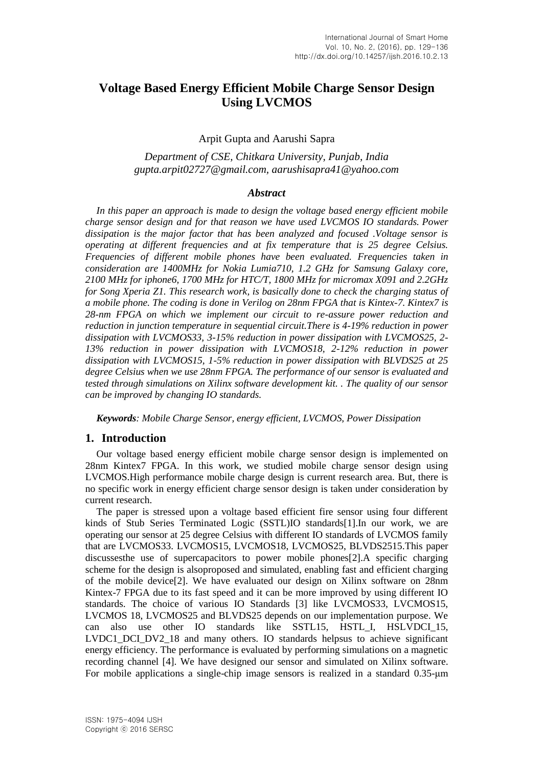# **Voltage Based Energy Efficient Mobile Charge Sensor Design Using LVCMOS**

#### Arpit Gupta and Aarushi Sapra

### *Department of CSE, Chitkara University, Punjab, India gupta.arpit02727@gmail.com, aarushisapra41@yahoo.com*

#### *Abstract*

*In this paper an approach is made to design the voltage based energy efficient mobile charge sensor design and for that reason we have used LVCMOS IO standards. Power dissipation is the major factor that has been analyzed and focused .Voltage sensor is operating at different frequencies and at fix temperature that is 25 degree Celsius. Frequencies of different mobile phones have been evaluated. Frequencies taken in consideration are 1400MHz for Nokia Lumia710, 1.2 GHz for Samsung Galaxy core, 2100 MHz for iphone6, 1700 MHz for HTC/T, 1800 MHz for micromax X091 and 2.2GHz for Song Xperia Z1. This research work, is basically done to check the charging status of a mobile phone. The coding is done in Verilog on 28nm FPGA that is Kintex-7. Kintex7 is 28-nm FPGA on which we implement our circuit to re-assure power reduction and reduction in junction temperature in sequential circuit.There is 4-19% reduction in power dissipation with LVCMOS33, 3-15% reduction in power dissipation with LVCMOS25, 2- 13% reduction in power dissipation with LVCMOS18, 2-12% reduction in power dissipation with LVCMOS15, 1-5% reduction in power dissipation with BLVDS25 at 25 degree Celsius when we use 28nm FPGA. The performance of our sensor is evaluated and tested through simulations on Xilinx software development kit. . The quality of our sensor can be improved by changing IO standards.*

*Keywords: Mobile Charge Sensor, energy efficient, LVCMOS, Power Dissipation*

### **1. Introduction**

Our voltage based energy efficient mobile charge sensor design is implemented on 28nm Kintex7 FPGA. In this work, we studied mobile charge sensor design using LVCMOS.High performance mobile charge design is current research area. But, there is no specific work in energy efficient charge sensor design is taken under consideration by current research.

The paper is stressed upon a voltage based efficient fire sensor using four different kinds of Stub Series Terminated Logic (SSTL)IO standards[1].In our work, we are operating our sensor at 25 degree Celsius with different IO standards of LVCMOS family that are LVCMOS33. LVCMOS15, LVCMOS18, LVCMOS25, BLVDS2515.This paper discussesthe use of supercapacitors to power mobile phones[2].A specific charging scheme for the design is alsoproposed and simulated, enabling fast and efficient charging of the mobile device[2]. We have evaluated our design on Xilinx software on 28nm Kintex-7 FPGA due to its fast speed and it can be more improved by using different IO standards. The choice of various IO Standards [3] like LVCMOS33, LVCMOS15, LVCMOS 18, LVCMOS25 and BLVDS25 depends on our implementation purpose. We can also use other IO standards like SSTL15, HSTL\_I, HSLVDCI\_15, LVDC1 DCI DV2 18 and many others. IO standards helpsus to achieve significant energy efficiency. The performance is evaluated by performing simulations on a magnetic recording channel [4]. We have designed our sensor and simulated on Xilinx software. For mobile applications a single-chip image sensors is realized in a standard 0.35-μm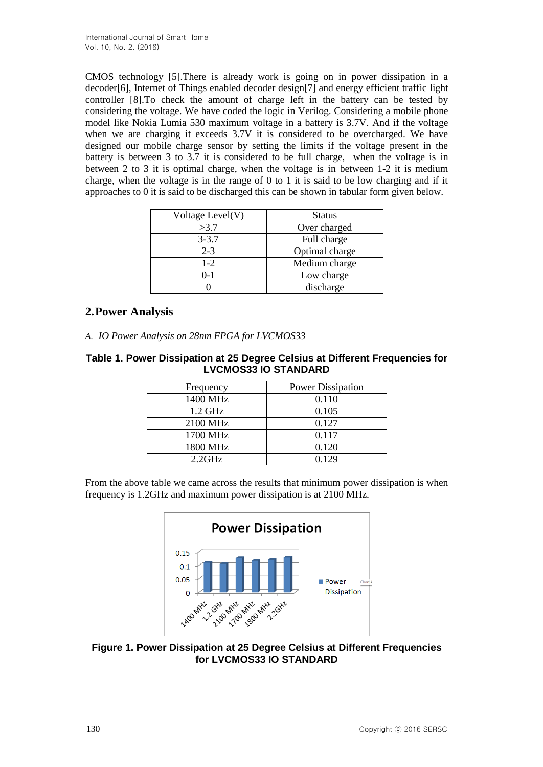CMOS technology [5].There is already work is going on in power dissipation in a decoder[6], Internet of Things enabled decoder design[7] and energy efficient traffic light controller [8].To check the amount of charge left in the battery can be tested by considering the voltage. We have coded the logic in Verilog. Considering a mobile phone model like Nokia Lumia 530 maximum voltage in a battery is 3.7V. And if the voltage when we are charging it exceeds 3.7V it is considered to be overcharged. We have designed our mobile charge sensor by setting the limits if the voltage present in the battery is between 3 to 3.7 it is considered to be full charge, when the voltage is in between 2 to 3 it is optimal charge, when the voltage is in between 1-2 it is medium charge, when the voltage is in the range of 0 to 1 it is said to be low charging and if it approaches to 0 it is said to be discharged this can be shown in tabular form given below.

| Voltage Level(V) | <b>Status</b>  |  |
|------------------|----------------|--|
| >3.7             | Over charged   |  |
| $3 - 3.7$        | Full charge    |  |
| $2 - 3$          | Optimal charge |  |
| $1-2$            | Medium charge  |  |
| 0-1              | Low charge     |  |
|                  | discharge      |  |

# **2.Power Analysis**

*A. IO Power Analysis on 28nm FPGA for LVCMOS33*

### **Table 1. Power Dissipation at 25 Degree Celsius at Different Frequencies for LVCMOS33 IO STANDARD**

| Frequency | <b>Power Dissipation</b> |
|-----------|--------------------------|
| 1400 MHz  | 0.110                    |
| $1.2$ GHz | 0.105                    |
| 2100 MHz  | 0.127                    |
| 1700 MHz  | 0.117                    |
| 1800 MHz  | 0.120                    |
| $2.2$ GHz | 0.129                    |

From the above table we came across the results that minimum power dissipation is when frequency is 1.2GHz and maximum power dissipation is at 2100 MHz.



**Figure 1. Power Dissipation at 25 Degree Celsius at Different Frequencies for LVCMOS33 IO STANDARD**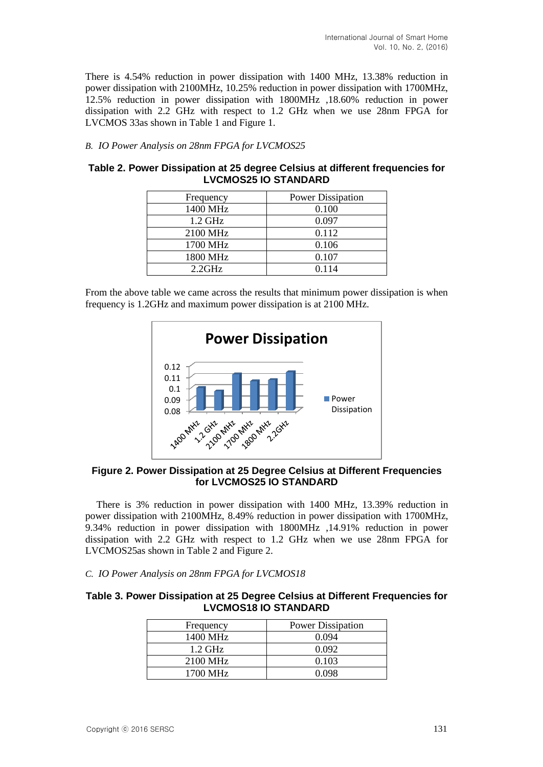There is 4.54% reduction in power dissipation with 1400 MHz, 13.38% reduction in power dissipation with 2100MHz, 10.25% reduction in power dissipation with 1700MHz, 12.5% reduction in power dissipation with 1800MHz ,18.60% reduction in power dissipation with 2.2 GHz with respect to 1.2 GHz when we use 28nm FPGA for LVCMOS 33as shown in Table 1 and Figure 1.

#### *B. IO Power Analysis on 28nm FPGA for LVCMOS25*

#### **Table 2. Power Dissipation at 25 degree Celsius at different frequencies for LVCMOS25 IO STANDARD**

| Frequency | <b>Power Dissipation</b> |
|-----------|--------------------------|
| 1400 MHz  | 0.100                    |
| $1.2$ GHz | 0.097                    |
| 2100 MHz  | 0.112                    |
| 1700 MHz  | 0.106                    |
| 1800 MHz  | 0.107                    |
| $2.2$ GHz | 0 1 1 4                  |

From the above table we came across the results that minimum power dissipation is when frequency is 1.2GHz and maximum power dissipation is at 2100 MHz.



**Figure 2. Power Dissipation at 25 Degree Celsius at Different Frequencies for LVCMOS25 IO STANDARD**

There is 3% reduction in power dissipation with 1400 MHz, 13.39% reduction in power dissipation with 2100MHz, 8.49% reduction in power dissipation with 1700MHz, 9.34% reduction in power dissipation with 1800MHz ,14.91% reduction in power dissipation with 2.2 GHz with respect to 1.2 GHz when we use 28nm FPGA for LVCMOS25as shown in Table 2 and Figure 2.

# *C. IO Power Analysis on 28nm FPGA for LVCMOS18*

#### **Table 3. Power Dissipation at 25 Degree Celsius at Different Frequencies for LVCMOS18 IO STANDARD**

| Frequency         | <b>Power Dissipation</b> |
|-------------------|--------------------------|
| 1400 MHz          | 0.094                    |
| $1.2 \text{ GHz}$ | 0.092                    |
| 2100 MHz          | 0.103                    |
| 1700 MHz          | N 098                    |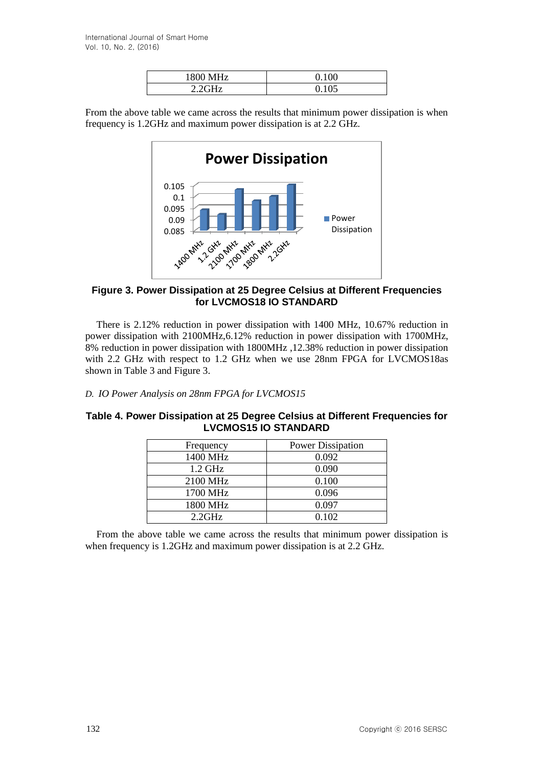| 1800 MHz | በ 1በበ |
|----------|-------|
| 221      |       |

From the above table we came across the results that minimum power dissipation is when frequency is 1.2GHz and maximum power dissipation is at 2.2 GHz.



### **Figure 3. Power Dissipation at 25 Degree Celsius at Different Frequencies for LVCMOS18 IO STANDARD**

There is 2.12% reduction in power dissipation with 1400 MHz, 10.67% reduction in power dissipation with 2100MHz,6.12% reduction in power dissipation with 1700MHz, 8% reduction in power dissipation with 1800MHz ,12.38% reduction in power dissipation with 2.2 GHz with respect to 1.2 GHz when we use 28nm FPGA for LVCMOS18as shown in Table 3 and Figure 3.

*D. IO Power Analysis on 28nm FPGA for LVCMOS15*

#### **Table 4. Power Dissipation at 25 Degree Celsius at Different Frequencies for LVCMOS15 IO STANDARD**

| Frequency | <b>Power Dissipation</b> |  |  |
|-----------|--------------------------|--|--|
| 1400 MHz  | 0.092                    |  |  |
| $1.2$ GHz | 0.090                    |  |  |
| 2100 MHz  | 0.100                    |  |  |
| 1700 MHz  | 0.096                    |  |  |
| 1800 MHz  | 0.097                    |  |  |
| $2.2$ GHz | 0.102                    |  |  |

From the above table we came across the results that minimum power dissipation is when frequency is 1.2GHz and maximum power dissipation is at 2.2 GHz.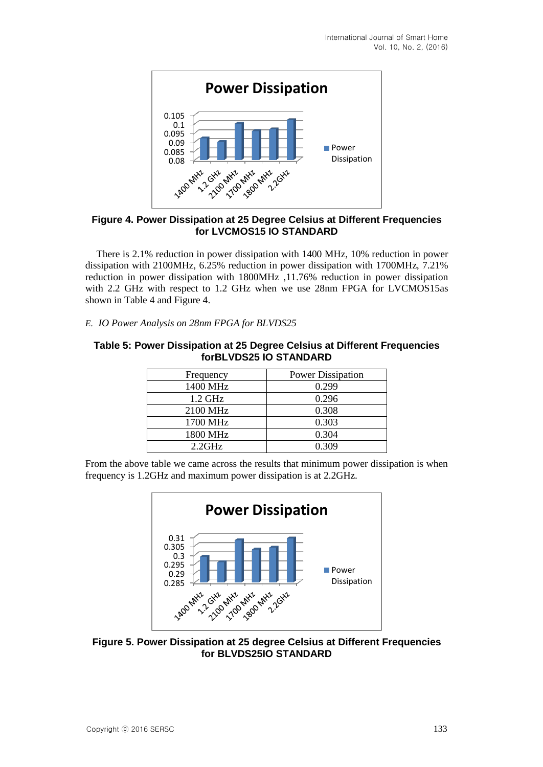

### **Figure 4. Power Dissipation at 25 Degree Celsius at Different Frequencies for LVCMOS15 IO STANDARD**

There is 2.1% reduction in power dissipation with 1400 MHz, 10% reduction in power dissipation with 2100MHz, 6.25% reduction in power dissipation with 1700MHz, 7.21% reduction in power dissipation with 1800MHz ,11.76% reduction in power dissipation with 2.2 GHz with respect to 1.2 GHz when we use 28nm FPGA for LVCMOS15as shown in Table 4 and Figure 4.

*E. IO Power Analysis on 28nm FPGA for BLVDS25*

### **Table 5: Power Dissipation at 25 Degree Celsius at Different Frequencies forBLVDS25 IO STANDARD**

| Frequency | <b>Power Dissipation</b> |
|-----------|--------------------------|
| 1400 MHz  | 0.299                    |
| 1.2 GHz   | 0.296                    |
| 2100 MHz  | 0.308                    |
| 1700 MHz  | 0.303                    |
| 1800 MHz  | 0.304                    |
| $2.2$ GHz | 0.309                    |

From the above table we came across the results that minimum power dissipation is when frequency is 1.2GHz and maximum power dissipation is at 2.2GHz.



**Figure 5. Power Dissipation at 25 degree Celsius at Different Frequencies for BLVDS25IO STANDARD**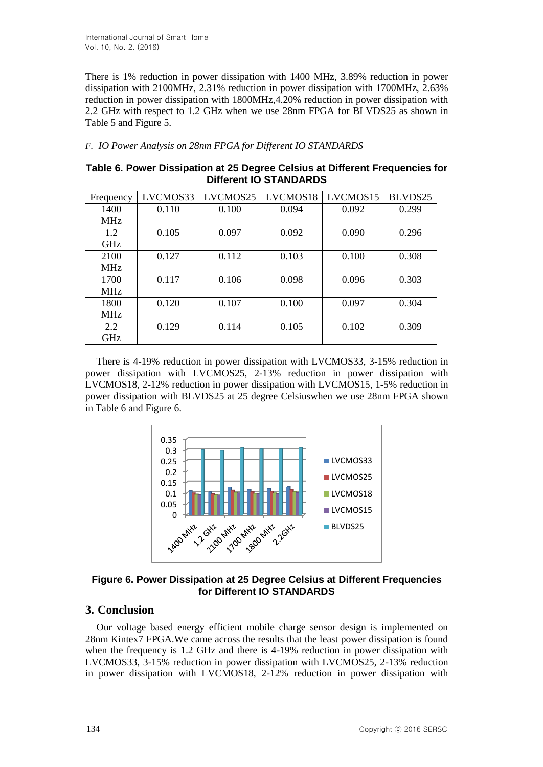There is 1% reduction in power dissipation with 1400 MHz, 3.89% reduction in power dissipation with 2100MHz, 2.31% reduction in power dissipation with 1700MHz, 2.63% reduction in power dissipation with 1800MHz,4.20% reduction in power dissipation with 2.2 GHz with respect to 1.2 GHz when we use 28nm FPGA for BLVDS25 as shown in Table 5 and Figure 5.

#### *F. IO Power Analysis on 28nm FPGA for Different IO STANDARDS*

**Table 6. Power Dissipation at 25 Degree Celsius at Different Frequencies for Different IO STANDARDS**

| Frequency  | LVCMOS33 | LVCMOS25 | LVCMOS18 | LVCMOS15 | BLVDS25 |
|------------|----------|----------|----------|----------|---------|
| 1400       | 0.110    | 0.100    | 0.094    | 0.092    | 0.299   |
| <b>MHz</b> |          |          |          |          |         |
| 1.2        | 0.105    | 0.097    | 0.092    | 0.090    | 0.296   |
| <b>GHz</b> |          |          |          |          |         |
| 2100       | 0.127    | 0.112    | 0.103    | 0.100    | 0.308   |
| <b>MHz</b> |          |          |          |          |         |
| 1700       | 0.117    | 0.106    | 0.098    | 0.096    | 0.303   |
| <b>MHz</b> |          |          |          |          |         |
| 1800       | 0.120    | 0.107    | 0.100    | 0.097    | 0.304   |
| <b>MHz</b> |          |          |          |          |         |
| 2.2        | 0.129    | 0.114    | 0.105    | 0.102    | 0.309   |
| GHz        |          |          |          |          |         |

There is 4-19% reduction in power dissipation with LVCMOS33, 3-15% reduction in power dissipation with LVCMOS25, 2-13% reduction in power dissipation with LVCMOS18, 2-12% reduction in power dissipation with LVCMOS15, 1-5% reduction in power dissipation with BLVDS25 at 25 degree Celsiuswhen we use 28nm FPGA shown in Table 6 and Figure 6.



**Figure 6. Power Dissipation at 25 Degree Celsius at Different Frequencies for Different IO STANDARDS**

# **3. Conclusion**

Our voltage based energy efficient mobile charge sensor design is implemented on 28nm Kintex7 FPGA.We came across the results that the least power dissipation is found when the frequency is 1.2 GHz and there is 4-19% reduction in power dissipation with LVCMOS33, 3-15% reduction in power dissipation with LVCMOS25, 2-13% reduction in power dissipation with LVCMOS18, 2-12% reduction in power dissipation with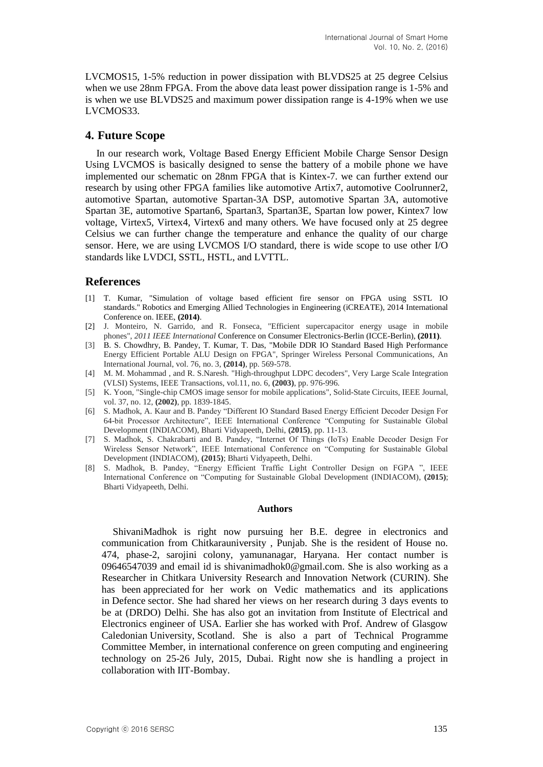LVCMOS15, 1-5% reduction in power dissipation with BLVDS25 at 25 degree Celsius when we use 28nm FPGA. From the above data least power dissipation range is 1-5% and is when we use BLVDS25 and maximum power dissipation range is 4-19% when we use LVCMOS33.

# **4. Future Scope**

In our research work, Voltage Based Energy Efficient Mobile Charge Sensor Design Using LVCMOS is basically designed to sense the battery of a mobile phone we have implemented our schematic on 28nm FPGA that is Kintex-7. we can further extend our research by using other FPGA families like automotive Artix7, automotive Coolrunner2, automotive Spartan, automotive Spartan-3A DSP, automotive Spartan 3A, automotive Spartan 3E, automotive Spartan6, Spartan3, Spartan3E, Spartan low power, Kintex7 low voltage, Virtex5, Virtex4, Virtex6 and many others. We have focused only at 25 degree Celsius we can further change the temperature and enhance the quality of our charge sensor. Here, we are using LVCMOS I/O standard, there is wide scope to use other I/O standards like LVDCI, SSTL, HSTL, and LVTTL.

# **References**

- [1] T. Kumar, "Simulation of voltage based efficient fire sensor on FPGA using SSTL IO standards." Robotics and Emerging Allied Technologies in Engineering (iCREATE), 2014 International Conference on. IEEE, **(2014)**.
- [2] J. Monteiro, N. Garrido, and R. Fonseca, "Efficient supercapacitor energy usage in mobile phones", *2011 IEEE International* Conference on Consumer Electronics-Berlin (ICCE-Berlin), **(2011)**.
- [3] B. S. Chowdhry, B. Pandey, T. Kumar, T. Das, "Mobile DDR IO Standard Based High Performance Energy Efficient Portable ALU Design on FPGA", Springer Wireless Personal Communications, An International Journal, vol. 76, no. 3, **(2014)**, pp. 569-578.
- [4] M. M. Mohammad , and R. S.Naresh. "High-throughput LDPC decoders", Very Large Scale Integration (VLSI) Systems, IEEE Transactions, vol.11, no. 6, **(2003)**, pp. 976-996.
- [5] K. Yoon, "Single-chip CMOS image sensor for mobile applications", Solid-State Circuits, IEEE Journal, vol. 37, no. 12, **(2002)**, pp. 1839-1845.
- [6] S. Madhok, A. Kaur and B. Pandey "Different IO Standard Based Energy Efficient Decoder Design For 64-bit Processor Architecture", IEEE International Conference "Computing for Sustainable Global Development (INDIACOM), Bharti Vidyapeeth, Delhi, **(2015)**, pp. 11-13.
- [7] S. Madhok, S. Chakrabarti and B. Pandey, "Internet Of Things (IoTs) Enable Decoder Design For Wireless Sensor Network", IEEE International Conference on "Computing for Sustainable Global Development (INDIACOM), **(2015)**; Bharti Vidyapeeth, Delhi.
- [8] S. Madhok, B. Pandey, "Energy Efficient Traffic Light Controller Design on FGPA ", IEEE International Conference on "Computing for Sustainable Global Development (INDIACOM), **(2015)**; Bharti Vidyapeeth, Delhi.

#### **Authors**

ShivaniMadhok is right now pursuing her B.E. degree in electronics and communication from Chitkarauniversity , Punjab. She is the resident of House no. 474, phase-2, sarojini colony, yamunanagar, Haryana. Her contact number is 09646547039 and email id is shivanimadhok0@gmail.com. She is also working as a Researcher in Chitkara University Research and Innovation Network (CURIN). She has been appreciated for her work on Vedic mathematics and its applications in Defence sector. She had shared her views on her research during 3 days events to be at (DRDO) Delhi. She has also got an invitation from Institute of Electrical and Electronics engineer of USA. Earlier she has worked with Prof. Andrew of Glasgow Caledonian University, Scotland. She is also a part of Technical Programme Committee Member, in international conference on green computing and engineering technology on 25-26 July, 2015, Dubai. Right now she is handling a project in collaboration with IIT-Bombay.